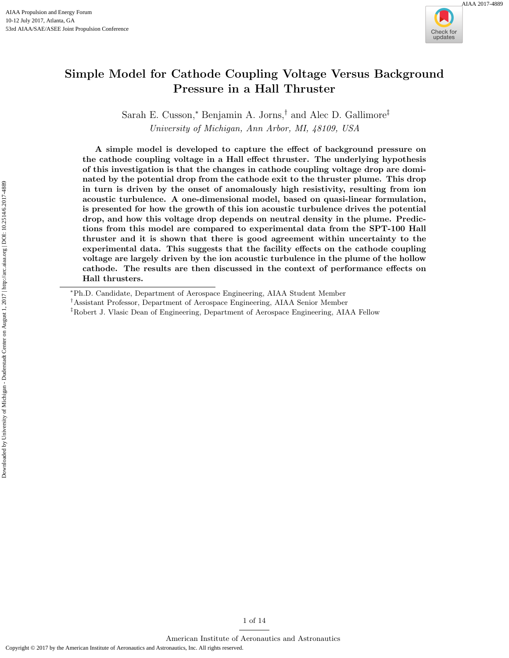

# Simple Model for Cathode Coupling Voltage Versus Background Pressure in a Hall Thruster

Sarah E. Cusson,<sup>∗</sup> Benjamin A. Jorns,† and Alec D. Gallimore‡ University of Michigan, Ann Arbor, MI, 48109, USA

A simple model is developed to capture the effect of background pressure on the cathode coupling voltage in a Hall effect thruster. The underlying hypothesis of this investigation is that the changes in cathode coupling voltage drop are dominated by the potential drop from the cathode exit to the thruster plume. This drop in turn is driven by the onset of anomalously high resistivity, resulting from ion acoustic turbulence. A one-dimensional model, based on quasi-linear formulation, is presented for how the growth of this ion acoustic turbulence drives the potential drop, and how this voltage drop depends on neutral density in the plume. Predictions from this model are compared to experimental data from the SPT-100 Hall thruster and it is shown that there is good agreement within uncertainty to the experimental data. This suggests that the facility effects on the cathode coupling voltage are largely driven by the ion acoustic turbulence in the plume of the hollow cathode. The results are then discussed in the context of performance effects on Hall thrusters.

1 of [14](#page-13-0)

<sup>∗</sup>Ph.D. Candidate, Department of Aerospace Engineering, AIAA Student Member

<sup>†</sup>Assistant Professor, Department of Aerospace Engineering, AIAA Senior Member

<sup>‡</sup>Robert J. Vlasic Dean of Engineering, Department of Aerospace Engineering, AIAA Fellow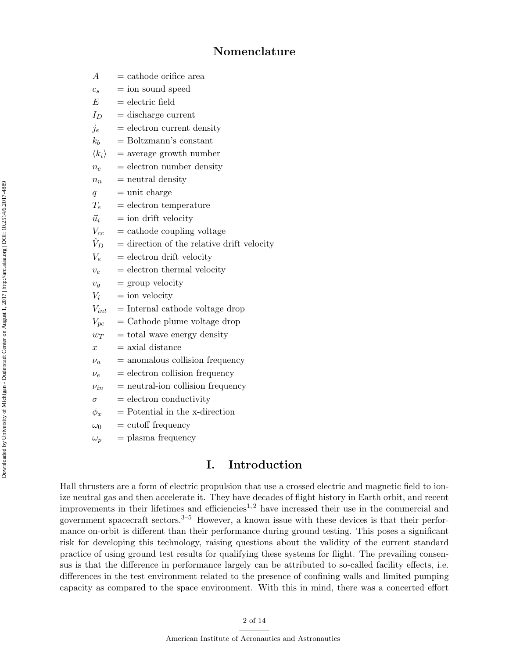# Nomenclature

| A                     | $=$ cathode orifice area                     |  |  |
|-----------------------|----------------------------------------------|--|--|
| $c_{s}$               | $=$ ion sound speed                          |  |  |
| E                     | $=$ electric field                           |  |  |
| $I_D$                 | $=$ discharge current                        |  |  |
| $j_e$                 | $=$ electron current density                 |  |  |
| $k_b$                 | $=$ Boltzmann's constant                     |  |  |
| $\langle k_i \rangle$ | $=$ average growth number                    |  |  |
| $n_e$                 | $=$ electron number density                  |  |  |
| $n_n$                 | $=$ neutral density                          |  |  |
| q                     | $=$ unit charge                              |  |  |
| $T_e$                 | $=$ electron temperature                     |  |  |
| $\vec{u}_i$           | $=$ ion drift velocity                       |  |  |
| $V_{cc}$              | $=$ cathode coupling voltage                 |  |  |
| $\hat{V}_D$           | $=$ direction of the relative drift velocity |  |  |
| $V_e$                 | $=$ electron drift velocity                  |  |  |
| $v_e$                 | $=$ electron thermal velocity                |  |  |
| $v_q$                 | $=$ group velocity                           |  |  |
| $V_i$                 | $=$ ion velocity                             |  |  |
| $V_{int}$             | $=$ Internal cathode voltage drop            |  |  |
| $V_{pc}$              | $=$ Cathode plume voltage drop               |  |  |
| $w_T$                 | $=$ total wave energy density                |  |  |
| $\boldsymbol{x}$      | $=$ axial distance                           |  |  |
| $\nu_a$               | $=$ anomalous collision frequency            |  |  |
| $\nu_e$               | = electron collision frequency               |  |  |
| $\nu_{in}$            | $=$ neutral-ion collision frequency          |  |  |
| $\sigma$              | $=$ electron conductivity                    |  |  |
| $\phi_x$              | $=$ Potential in the x-direction             |  |  |
| $\omega_0$            | $=$ cutoff frequency                         |  |  |
| $\omega_p$            | $=$ plasma frequency                         |  |  |

# I. Introduction

Hall thrusters are a form of electric propulsion that use a crossed electric and magnetic field to ionize neutral gas and then accelerate it. They have decades of flight history in Earth orbit, and recent improvements in their lifetimes and efficiencies<sup>[1,](#page-11-0)[2](#page-11-1)</sup> have increased their use in the commercial and government spacecraft sectors.[3–](#page-12-0)[5](#page-12-1) However, a known issue with these devices is that their performance on-orbit is different than their performance during ground testing. This poses a significant risk for developing this technology, raising questions about the validity of the current standard practice of using ground test results for qualifying these systems for flight. The prevailing consensus is that the difference in performance largely can be attributed to so-called facility effects, i.e. differences in the test environment related to the presence of confining walls and limited pumping capacity as compared to the space environment. With this in mind, there was a concerted effort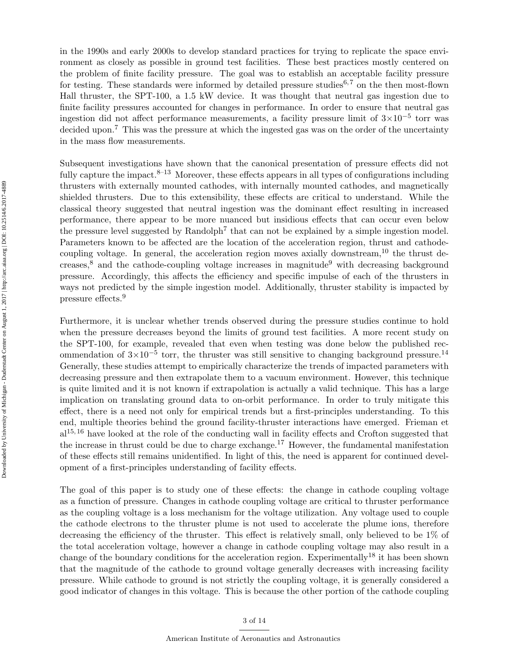in the 1990s and early 2000s to develop standard practices for trying to replicate the space environment as closely as possible in ground test facilities. These best practices mostly centered on the problem of finite facility pressure. The goal was to establish an acceptable facility pressure for testing. These standards were informed by detailed pressure studies<sup>[6,](#page-12-2)[7](#page-12-3)</sup> on the then most-flown Hall thruster, the SPT-100, a 1.5 kW device. It was thought that neutral gas ingestion due to finite facility pressures accounted for changes in performance. In order to ensure that neutral gas ingestion did not affect performance measurements, a facility pressure limit of  $3\times10^{-5}$  torr was decided upon.<sup>[7](#page-12-3)</sup> This was the pressure at which the ingested gas was on the order of the uncertainty in the mass flow measurements.

Subsequent investigations have shown that the canonical presentation of pressure effects did not fully capture the impact. $8-13$  $8-13$  Moreover, these effects appears in all types of configurations including thrusters with externally mounted cathodes, with internally mounted cathodes, and magnetically shielded thrusters. Due to this extensibility, these effects are critical to understand. While the classical theory suggested that neutral ingestion was the dominant effect resulting in increased performance, there appear to be more nuanced but insidious effects that can occur even below the pressure level suggested by Randolph<sup>[7](#page-12-3)</sup> that can not be explained by a simple ingestion model. Parameters known to be affected are the location of the acceleration region, thrust and cathode-coupling voltage. In general, the acceleration region moves axially downstream,<sup>[10](#page-12-6)</sup> the thrust de-creases,<sup>[8](#page-12-4)</sup> and the cathode-coupling voltage increases in magnitude<sup>[9](#page-12-7)</sup> with decreasing background pressure. Accordingly, this affects the efficiency and specific impulse of each of the thrusters in ways not predicted by the simple ingestion model. Additionally, thruster stability is impacted by pressure effects.[9](#page-12-7)

Furthermore, it is unclear whether trends observed during the pressure studies continue to hold when the pressure decreases beyond the limits of ground test facilities. A more recent study on the SPT-100, for example, revealed that even when testing was done below the published recommendation of  $3\times10^{-5}$  torr, the thruster was still sensitive to changing background pressure.<sup>[14](#page-12-8)</sup> Generally, these studies attempt to empirically characterize the trends of impacted parameters with decreasing pressure and then extrapolate them to a vacuum environment. However, this technique is quite limited and it is not known if extrapolation is actually a valid technique. This has a large implication on translating ground data to on-orbit performance. In order to truly mitigate this effect, there is a need not only for empirical trends but a first-principles understanding. To this end, multiple theories behind the ground facility-thruster interactions have emerged. Frieman et  $al<sup>15, 16</sup>$  $al<sup>15, 16</sup>$  $al<sup>15, 16</sup>$  $al<sup>15, 16</sup>$  $al<sup>15, 16</sup>$  have looked at the role of the conducting wall in facility effects and Crofton suggested that the increase in thrust could be due to charge exchange.<sup>[17](#page-12-11)</sup> However, the fundamental manifestation of these effects still remains unidentified. In light of this, the need is apparent for continued development of a first-principles understanding of facility effects.

The goal of this paper is to study one of these effects: the change in cathode coupling voltage as a function of pressure. Changes in cathode coupling voltage are critical to thruster performance as the coupling voltage is a loss mechanism for the voltage utilization. Any voltage used to couple the cathode electrons to the thruster plume is not used to accelerate the plume ions, therefore decreasing the efficiency of the thruster. This effect is relatively small, only believed to be 1% of the total acceleration voltage, however a change in cathode coupling voltage may also result in a change of the boundary conditions for the acceleration region. Experimentally<sup>[18](#page-12-12)</sup> it has been shown that the magnitude of the cathode to ground voltage generally decreases with increasing facility pressure. While cathode to ground is not strictly the coupling voltage, it is generally considered a good indicator of changes in this voltage. This is because the other portion of the cathode coupling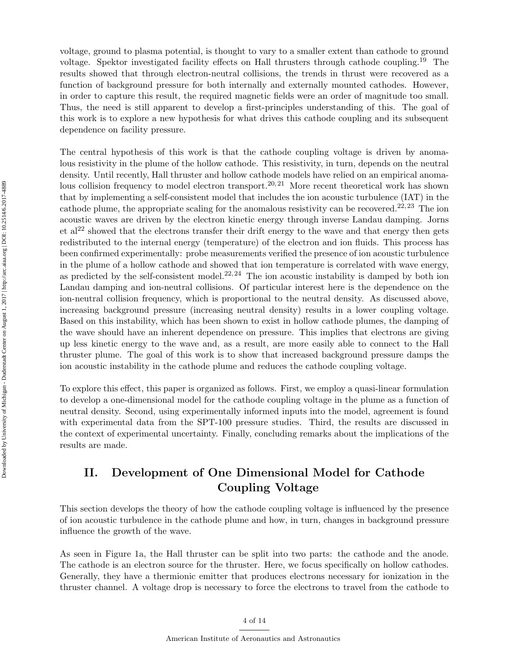voltage, ground to plasma potential, is thought to vary to a smaller extent than cathode to ground voltage. Spektor investigated facility effects on Hall thrusters through cathode coupling.[19](#page-12-13) The results showed that through electron-neutral collisions, the trends in thrust were recovered as a function of background pressure for both internally and externally mounted cathodes. However, in order to capture this result, the required magnetic fields were an order of magnitude too small. Thus, the need is still apparent to develop a first-principles understanding of this. The goal of this work is to explore a new hypothesis for what drives this cathode coupling and its subsequent dependence on facility pressure.

The central hypothesis of this work is that the cathode coupling voltage is driven by anomalous resistivity in the plume of the hollow cathode. This resistivity, in turn, depends on the neutral density. Until recently, Hall thruster and hollow cathode models have relied on an empirical anoma-lous collision frequency to model electron transport.<sup>[20,](#page-12-14) [21](#page-12-15)</sup> More recent theoretical work has shown that by implementing a self-consistent model that includes the ion acoustic turbulence (IAT) in the cathode plume, the appropriate scaling for the anomalous resistivity can be recovered.<sup>[22,](#page-12-16) [23](#page-12-17)</sup> The ion acoustic waves are driven by the electron kinetic energy through inverse Landau damping. Jorns et al<sup>[22](#page-12-16)</sup> showed that the electrons transfer their drift energy to the wave and that energy then gets redistributed to the internal energy (temperature) of the electron and ion fluids. This process has been confirmed experimentally: probe measurements verified the presence of ion acoustic turbulence in the plume of a hollow cathode and showed that ion temperature is correlated with wave energy, as predicted by the self-consistent model.<sup>[22,](#page-12-16) [24](#page-12-18)</sup> The ion acoustic instability is damped by both ion Landau damping and ion-neutral collisions. Of particular interest here is the dependence on the ion-neutral collision frequency, which is proportional to the neutral density. As discussed above, increasing background pressure (increasing neutral density) results in a lower coupling voltage. Based on this instability, which has been shown to exist in hollow cathode plumes, the damping of the wave should have an inherent dependence on pressure. This implies that electrons are giving up less kinetic energy to the wave and, as a result, are more easily able to connect to the Hall thruster plume. The goal of this work is to show that increased background pressure damps the ion acoustic instability in the cathode plume and reduces the cathode coupling voltage.

To explore this effect, this paper is organized as follows. First, we employ a quasi-linear formulation to develop a one-dimensional model for the cathode coupling voltage in the plume as a function of neutral density. Second, using experimentally informed inputs into the model, agreement is found with experimental data from the SPT-100 pressure studies. Third, the results are discussed in the context of experimental uncertainty. Finally, concluding remarks about the implications of the results are made.

# II. Development of One Dimensional Model for Cathode Coupling Voltage

This section develops the theory of how the cathode coupling voltage is influenced by the presence of ion acoustic turbulence in the cathode plume and how, in turn, changes in background pressure influence the growth of the wave.

As seen in Figure [1a](#page-4-0), the Hall thruster can be split into two parts: the cathode and the anode. The cathode is an electron source for the thruster. Here, we focus specifically on hollow cathodes. Generally, they have a thermionic emitter that produces electrons necessary for ionization in the thruster channel. A voltage drop is necessary to force the electrons to travel from the cathode to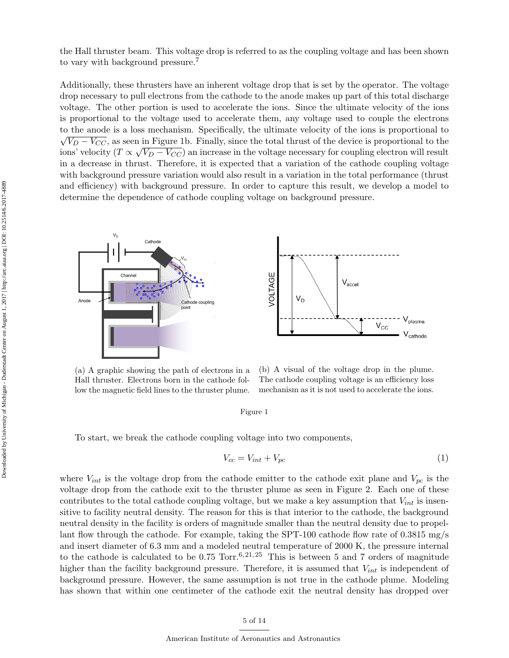the Hall thruster beam. This voltage drop is referred to as the coupling voltage and has been shown to vary with background pressure.<sup>[7](#page-12-3)</sup>

Additionally, these thrusters have an inherent voltage drop that is set by the operator. The voltage drop necessary to pull electrons from the cathode to the anode makes up part of this total discharge voltage. The other portion is used to accelerate the ions. Since the ultimate velocity of the ions is proportional to the voltage used to accelerate them, any voltage used to couple the electrons to the anode is a loss mechanism. Specifically, the ultimate velocity of the ions is proportional to  $V_D - V_{CC}$ , as seen in Figure [1b](#page-4-0). Finally, since the total thrust of the device is proportional to the ions' velocity ( $T \propto \sqrt{V_D - V_{CC}}$ ) an increase in the voltage necessary for coupling electron will result in a decrease in thrust. Therefore, it is expected that a variation of the cathode coupling voltage with background pressure variation would also result in a variation in the total performance (thrust and efficiency) with background pressure. In order to capture this result, we develop a model to determine the dependence of cathode coupling voltage on background pressure.

<span id="page-4-0"></span>

(a) A graphic showing the path of electrons in a Hall thruster. Electrons born in the cathode follow the magnetic field lines to the thruster plume.

(b) A visual of the voltage drop in the plume. The cathode coupling voltage is an efficiency loss mechanism as it is not used to accelerate the ions.

V<sub>plasma</sub>

 $V_{\text{cathode}}$ 

#### Figure 1

To start, we break the cathode coupling voltage into two components,

$$
V_{cc} = V_{int} + V_{pc} \tag{1}
$$

where  $V_{int}$  is the voltage drop from the cathode emitter to the cathode exit plane and  $V_{pc}$  is the voltage drop from the cathode exit to the thruster plume as seen in Figure [2.](#page-5-0) Each one of these contributes to the total cathode coupling voltage, but we make a key assumption that  $V_{int}$  is insensitive to facility neutral density. The reason for this is that interior to the cathode, the background neutral density in the facility is orders of magnitude smaller than the neutral density due to propellant flow through the cathode. For example, taking the SPT-100 cathode flow rate of 0.3815 mg/s and insert diameter of 6.3 mm and a modeled neutral temperature of 2000 K, the pressure internal to the cathode is calculated to be 0.75 Torr.<sup>[6,](#page-12-2) [21,](#page-12-15) [25](#page-12-19)</sup> This is between 5 and 7 orders of magnitude higher than the facility background pressure. Therefore, it is assumed that  $V_{int}$  is independent of background pressure. However, the same assumption is not true in the cathode plume. Modeling has shown that within one centimeter of the cathode exit the neutral density has dropped over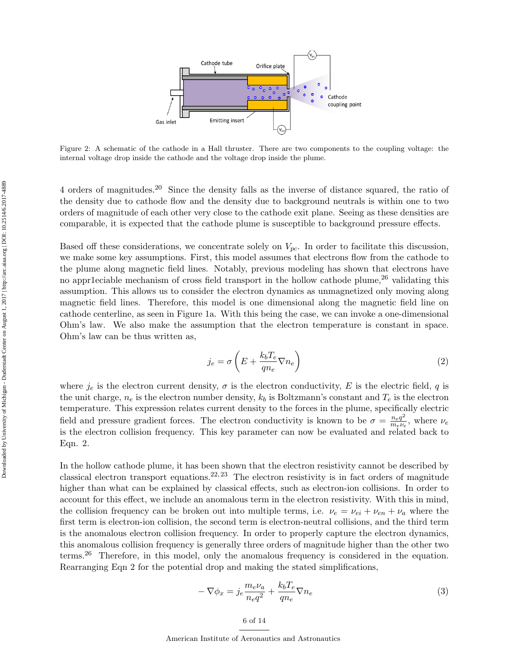<span id="page-5-0"></span>

Figure 2: A schematic of the cathode in a Hall thruster. There are two components to the coupling voltage: the internal voltage drop inside the cathode and the voltage drop inside the plume.

4 orders of magnitudes.[20](#page-12-14) Since the density falls as the inverse of distance squared, the ratio of the density due to cathode flow and the density due to background neutrals is within one to two orders of magnitude of each other very close to the cathode exit plane. Seeing as these densities are comparable, it is expected that the cathode plume is susceptible to background pressure effects.

Based off these considerations, we concentrate solely on  $V_{pc}$ . In order to facilitate this discussion, we make some key assumptions. First, this model assumes that electrons flow from the cathode to the plume along magnetic field lines. Notably, previous modeling has shown that electrons have no appr1eciable mechanism of cross field transport in the hollow cathode plume,  $26$  validating this assumption. This allows us to consider the electron dynamics as unmagnetized only moving along magnetic field lines. Therefore, this model is one dimensional along the magnetic field line on cathode centerline, as seen in Figure 1a. With this being the case, we can invoke a one-dimensional Ohm's law. We also make the assumption that the electron temperature is constant in space. Ohm's law can be thus written as,

<span id="page-5-1"></span>
$$
j_e = \sigma \left( E + \frac{k_b T_e}{q n_e} \nabla n_e \right) \tag{2}
$$

where  $j_e$  is the electron current density,  $\sigma$  is the electron conductivity, E is the electric field, q is the unit charge,  $n_e$  is the electron number density,  $k_b$  is Boltzmann's constant and  $T_e$  is the electron temperature. This expression relates current density to the forces in the plume, specifically electric field and pressure gradient forces. The electron conductivity is known to be  $\sigma = \frac{n_e q^2}{m_l}$  $\frac{n_e q^2}{m_e \nu_e}$ , where  $\nu_e$ is the electron collision frequency. This key parameter can now be evaluated and related back to Eqn. [2.](#page-5-1)

In the hollow cathode plume, it has been shown that the electron resistivity cannot be described by classical electron transport equations.<sup>[22,](#page-12-16) [23](#page-12-17)</sup> The electron resistivity is in fact orders of magnitude higher than what can be explained by classical effects, such as electron-ion collisions. In order to account for this effect, we include an anomalous term in the electron resistivity. With this in mind, the collision frequency can be broken out into multiple terms, i.e.  $\nu_e = \nu_{ei} + \nu_{en} + \nu_a$  where the first term is electron-ion collision, the second term is electron-neutral collisions, and the third term is the anomalous electron collision frequency. In order to properly capture the electron dynamics, this anomalous collision frequency is generally three orders of magnitude higher than the other two terms.<sup>[26](#page-12-20)</sup> Therefore, in this model, only the anomalous frequency is considered in the equation. Rearranging Eqn 2 for the potential drop and making the stated simplifications,

$$
-\nabla \phi_x = j_e \frac{m_e \nu_a}{n_e q^2} + \frac{k_b T_e}{qn_e} \nabla n_e \tag{3}
$$

American Institute of Aeronautics and Astronautics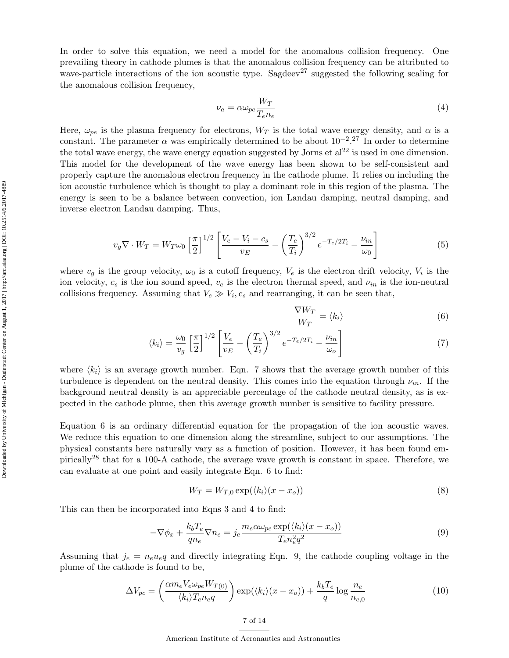In order to solve this equation, we need a model for the anomalous collision frequency. One prevailing theory in cathode plumes is that the anomalous collision frequency can be attributed to wave-particle interactions of the ion acoustic type. Sagdeev<sup>[27](#page-12-21)</sup> suggested the following scaling for the anomalous collision frequency,

$$
\nu_a = \alpha \omega_{pe} \frac{W_T}{T_e n_e} \tag{4}
$$

Here,  $\omega_{pe}$  is the plasma frequency for electrons,  $W_T$  is the total wave energy density, and  $\alpha$  is a constant. The parameter  $\alpha$  was empirically determined to be about  $10^{-2}$ .<sup>[27](#page-12-21)</sup> In order to determine the total wave energy, the wave energy equation suggested by Jorns et  $al^{22}$  $al^{22}$  $al^{22}$  is used in one dimension. This model for the development of the wave energy has been shown to be self-consistent and properly capture the anomalous electron frequency in the cathode plume. It relies on including the ion acoustic turbulence which is thought to play a dominant role in this region of the plasma. The energy is seen to be a balance between convection, ion Landau damping, neutral damping, and inverse electron Landau damping. Thus,

$$
v_g \nabla \cdot W_T = W_T \omega_0 \left[ \frac{\pi}{2} \right]^{1/2} \left[ \frac{V_e - V_i - c_s}{v_E} - \left( \frac{T_e}{T_i} \right)^{3/2} e^{-T_e/2T_i} - \frac{\nu_{in}}{\omega_0} \right]
$$
(5)

where  $v_g$  is the group velocity,  $\omega_0$  is a cutoff frequency,  $V_e$  is the electron drift velocity,  $V_i$  is the ion velocity,  $c_s$  is the ion sound speed,  $v_e$  is the electron thermal speed, and  $\nu_{in}$  is the ion-neutral collisions frequency. Assuming that  $V_e \gg V_i$ ,  $c_s$  and rearranging, it can be seen that,

$$
\frac{\nabla W_T}{W_T} = \langle k_i \rangle \tag{6}
$$

$$
\langle k_i \rangle = \frac{\omega_0}{v_g} \left[ \frac{\pi}{2} \right]^{1/2} \left[ \frac{V_e}{v_E} - \left( \frac{T_e}{T_i} \right)^{3/2} e^{-T_e/2T_i} - \frac{\nu_{in}}{\omega_o} \right] \tag{7}
$$

where  $\langle k_i \rangle$  is an average growth number. Eqn. 7 shows that the average growth number of this turbulence is dependent on the neutral density. This comes into the equation through  $\nu_{in}$ . If the background neutral density is an appreciable percentage of the cathode neutral density, as is expected in the cathode plume, then this average growth number is sensitive to facility pressure.

Equation 6 is an ordinary differential equation for the propagation of the ion acoustic waves. We reduce this equation to one dimension along the streamline, subject to our assumptions. The physical constants here naturally vary as a function of position. However, it has been found empirically[28](#page-13-1) that for a 100-A cathode, the average wave growth is constant in space. Therefore, we can evaluate at one point and easily integrate Eqn. 6 to find:

$$
W_T = W_{T,0} \exp(\langle k_i \rangle (x - x_o))
$$
\n<sup>(8)</sup>

This can then be incorporated into Eqns 3 and 4 to find:

$$
-\nabla \phi_x + \frac{k_b T_e}{qn_e} \nabla n_e = j_e \frac{m_e \alpha \omega_{pe} \exp(\langle k_i \rangle (x - x_o))}{T_e n_e^2 q^2}
$$
(9)

Assuming that  $j_e = n_e u_e q$  and directly integrating Eqn. 9, the cathode coupling voltage in the plume of the cathode is found to be,

$$
\Delta V_{pc} = \left(\frac{\alpha m_e V_e \omega_{pe} W_{T(0)}}{\langle k_i \rangle T_e n_e q}\right) \exp(\langle k_i \rangle (x - x_o)) + \frac{k_b T_e}{q} \log \frac{n_e}{n_{e,0}}\tag{10}
$$

7 of [14](#page-13-0)

American Institute of Aeronautics and Astronautics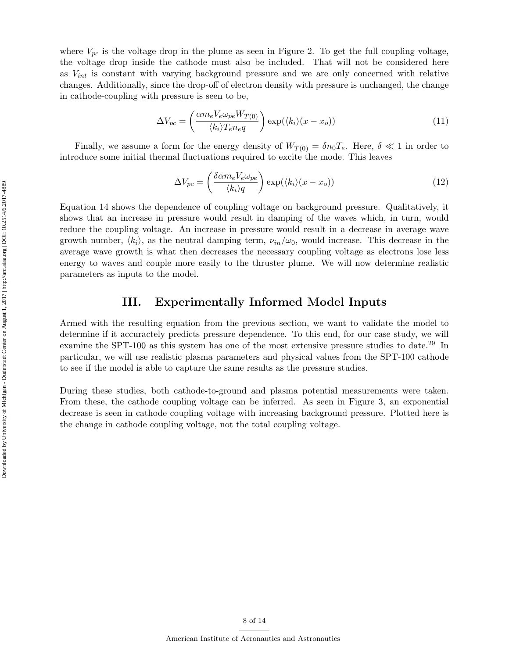where  $V_{\nu c}$  is the voltage drop in the plume as seen in Figure 2. To get the full coupling voltage, the voltage drop inside the cathode must also be included. That will not be considered here as  $V_{int}$  is constant with varying background pressure and we are only concerned with relative changes. Additionally, since the drop-off of electron density with pressure is unchanged, the change in cathode-coupling with pressure is seen to be,

$$
\Delta V_{pc} = \left(\frac{\alpha m_e V_e \omega_{pe} W_{T(0)}}{\langle k_i \rangle T_e n_e q}\right) \exp(\langle k_i \rangle (x - x_o)) \tag{11}
$$

Finally, we assume a form for the energy density of  $W_{T(0)} = \delta n_0 T_e$ . Here,  $\delta \ll 1$  in order to introduce some initial thermal fluctuations required to excite the mode. This leaves

$$
\Delta V_{pc} = \left(\frac{\delta \alpha m_e V_e \omega_{pe}}{\langle k_i \rangle q}\right) \exp(\langle k_i \rangle (x - x_o)) \tag{12}
$$

Equation 14 shows the dependence of coupling voltage on background pressure. Qualitatively, it shows that an increase in pressure would result in damping of the waves which, in turn, would reduce the coupling voltage. An increase in pressure would result in a decrease in average wave growth number,  $\langle k_i \rangle$ , as the neutral damping term,  $\nu_{in}/\omega_0$ , would increase. This decrease in the average wave growth is what then decreases the necessary coupling voltage as electrons lose less energy to waves and couple more easily to the thruster plume. We will now determine realistic parameters as inputs to the model.

#### III. Experimentally Informed Model Inputs

Armed with the resulting equation from the previous section, we want to validate the model to determine if it accuractely predicts pressure dependence. To this end, for our case study, we will examine the SPT-100 as this system has one of the most extensive pressure studies to date.<sup>[29](#page-13-2)</sup> In particular, we will use realistic plasma parameters and physical values from the SPT-100 cathode to see if the model is able to capture the same results as the pressure studies.

During these studies, both cathode-to-ground and plasma potential measurements were taken. From these, the cathode coupling voltage can be inferred. As seen in Figure [3,](#page-8-0) an exponential decrease is seen in cathode coupling voltage with increasing background pressure. Plotted here is the change in cathode coupling voltage, not the total coupling voltage.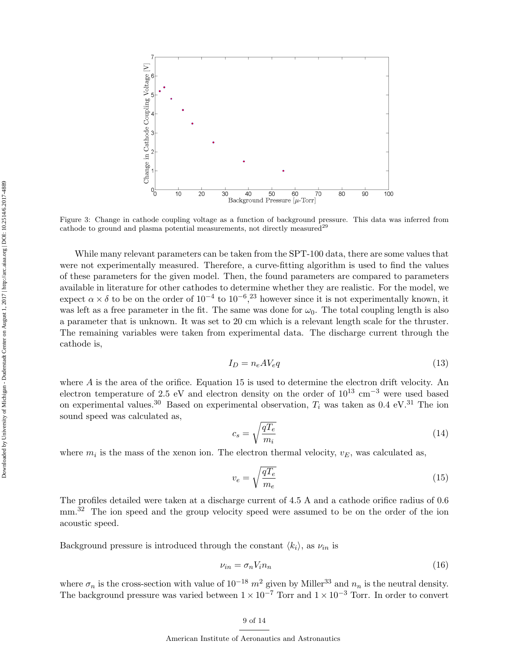<span id="page-8-0"></span>

Figure 3: Change in cathode coupling voltage as a function of background pressure. This data was inferred from cathode to ground and plasma potential measurements, not directly measured<sup>[29](#page-13-2)</sup>

While many relevant parameters can be taken from the SPT-100 data, there are some values that were not experimentally measured. Therefore, a curve-fitting algorithm is used to find the values of these parameters for the given model. Then, the found parameters are compared to parameters available in literature for other cathodes to determine whether they are realistic. For the model, we expect  $\alpha \times \delta$  to be on the order of  $10^{-4}$  to  $10^{-6}$ ,<sup>[23](#page-12-17)</sup> however since it is not experimentally known, it was left as a free parameter in the fit. The same was done for  $\omega_0$ . The total coupling length is also a parameter that is unknown. It was set to 20 cm which is a relevant length scale for the thruster. The remaining variables were taken from experimental data. The discharge current through the cathode is,

$$
I_D = n_e A V_e q \tag{13}
$$

where  $A$  is the area of the orifice. Equation 15 is used to determine the electron drift velocity. An electron temperature of 2.5 eV and electron density on the order of  $10^{13}$  cm<sup>-3</sup> were used based on experimental values.<sup>[30](#page-13-3)</sup> Based on experimental observation,  $T_i$  was taken as 0.4 eV.<sup>[31](#page-13-4)</sup> The ion sound speed was calculated as,

$$
c_s = \sqrt{\frac{qT_e}{m_i}}\tag{14}
$$

where  $m_i$  is the mass of the xenon ion. The electron thermal velocity,  $v_E$ , was calculated as,

$$
v_e = \sqrt{\frac{qT_e}{m_e}}\tag{15}
$$

The profiles detailed were taken at a discharge current of 4.5 A and a cathode orifice radius of 0.6 mm.<sup>[32](#page-13-5)</sup> The ion speed and the group velocity speed were assumed to be on the order of the ion acoustic speed.

Background pressure is introduced through the constant  $\langle k_i \rangle$ , as  $\nu_{in}$  is

$$
\nu_{in} = \sigma_n V_i n_n \tag{16}
$$

where  $\sigma_n$  is the cross-section with value of 10<sup>-18</sup> m<sup>2</sup> given by Miller<sup>[33](#page-13-6)</sup> and  $n_n$  is the neutral density. The background pressure was varied between  $1 \times 10^{-7}$  Torr and  $1 \times 10^{-3}$  Torr. In order to convert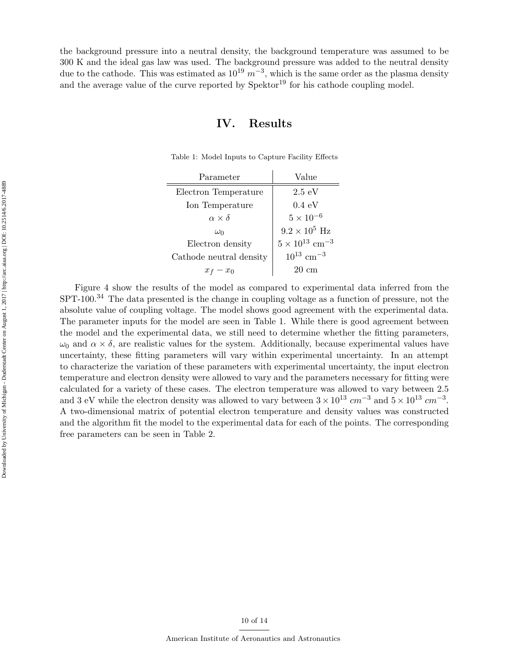<span id="page-9-0"></span>the background pressure into a neutral density, the background temperature was assumed to be 300 K and the ideal gas law was used. The background pressure was added to the neutral density due to the cathode. This was estimated as  $10^{19} m^{-3}$ , which is the same order as the plasma density and the average value of the curve reported by  $Spektor<sup>19</sup>$  $Spektor<sup>19</sup>$  $Spektor<sup>19</sup>$  for his cathode coupling model.

#### IV. Results

| Parameter               | Value                               |
|-------------------------|-------------------------------------|
| Electron Temperature    | $2.5 \text{ eV}$                    |
| Ion Temperature         | $0.4 \text{ eV}$                    |
| $\alpha \times \delta$  | $5 \times 10^{-6}$                  |
| $\omega_0$              | $9.2 \times 10^5$ Hz                |
| Electron density        | $5 \times 10^{13}$ cm <sup>-3</sup> |
| Cathode neutral density | $10^{13}$ cm <sup>-3</sup>          |
| $x_0$<br>$x_f$          | 20 cm                               |

Table 1: Model Inputs to Capture Facility Effects

 $\equiv$ 

Figure [4](#page-10-0) show the results of the model as compared to experimental data inferred from the SPT-100.<sup>[34](#page-13-7)</sup> The data presented is the change in coupling voltage as a function of pressure, not the absolute value of coupling voltage. The model shows good agreement with the experimental data. The parameter inputs for the model are seen in Table [1.](#page-9-0) While there is good agreement between the model and the experimental data, we still need to determine whether the fitting parameters,  $\omega_0$  and  $\alpha \times \delta$ , are realistic values for the system. Additionally, because experimental values have uncertainty, these fitting parameters will vary within experimental uncertainty. In an attempt to characterize the variation of these parameters with experimental uncertainty, the input electron temperature and electron density were allowed to vary and the parameters necessary for fitting were calculated for a variety of these cases. The electron temperature was allowed to vary between 2.5 and 3 eV while the electron density was allowed to vary between  $3 \times 10^{13}$  cm<sup>-3</sup> and  $5 \times 10^{13}$  cm<sup>-3</sup>. A two-dimensional matrix of potential electron temperature and density values was constructed and the algorithm fit the model to the experimental data for each of the points. The corresponding free parameters can be seen in Table [2.](#page-10-1)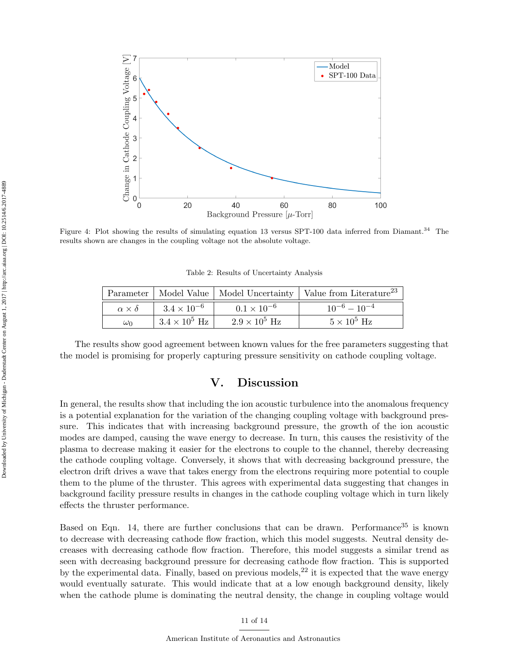<span id="page-10-0"></span>

<span id="page-10-1"></span>Figure 4: Plot showing the results of simulating equation 13 versus SPT-100 data inferred from Diamant.<sup>[34](#page-13-7)</sup> The results shown are changes in the coupling voltage not the absolute voltage.

Table 2: Results of Uncertainty Analysis

|                        |                      |                      | Parameter   Model Value   Model Uncertainty   Value from Literature <sup>23</sup> |
|------------------------|----------------------|----------------------|-----------------------------------------------------------------------------------|
| $\alpha \times \delta$ | $3.4 \times 10^{-6}$ | $0.1 \times 10^{-6}$ | $10^{-6} - 10^{-4}$                                                               |
| $\omega_0$             | $3.4 \times 10^5$ Hz | $2.9 \times 10^5$ Hz | $5 \times 10^5$ Hz                                                                |

The results show good agreement between known values for the free parameters suggesting that the model is promising for properly capturing pressure sensitivity on cathode coupling voltage.

#### V. Discussion

In general, the results show that including the ion acoustic turbulence into the anomalous frequency is a potential explanation for the variation of the changing coupling voltage with background pressure. This indicates that with increasing background pressure, the growth of the ion acoustic modes are damped, causing the wave energy to decrease. In turn, this causes the resistivity of the plasma to decrease making it easier for the electrons to couple to the channel, thereby decreasing the cathode coupling voltage. Conversely, it shows that with decreasing background pressure, the electron drift drives a wave that takes energy from the electrons requiring more potential to couple them to the plume of the thruster. This agrees with experimental data suggesting that changes in background facility pressure results in changes in the cathode coupling voltage which in turn likely effects the thruster performance.

Based on Eqn. 14, there are further conclusions that can be drawn. Performance<sup>[35](#page-13-8)</sup> is known to decrease with decreasing cathode flow fraction, which this model suggests. Neutral density decreases with decreasing cathode flow fraction. Therefore, this model suggests a similar trend as seen with decreasing background pressure for decreasing cathode flow fraction. This is supported by the experimental data. Finally, based on previous models,  $^{22}$  $^{22}$  $^{22}$  it is expected that the wave energy would eventually saturate. This would indicate that at a low enough background density, likely when the cathode plume is dominating the neutral density, the change in coupling voltage would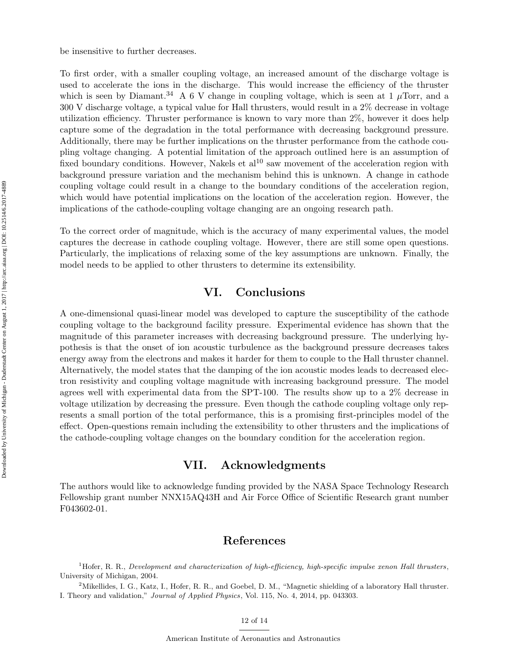be insensitive to further decreases.

To first order, with a smaller coupling voltage, an increased amount of the discharge voltage is used to accelerate the ions in the discharge. This would increase the efficiency of the thruster which is seen by Diamant.<sup>[34](#page-13-7)</sup> A 6 V change in coupling voltage, which is seen at 1  $\mu$ Torr, and a 300 V discharge voltage, a typical value for Hall thrusters, would result in a 2% decrease in voltage utilization efficiency. Thruster performance is known to vary more than 2%, however it does help capture some of the degradation in the total performance with decreasing background pressure. Additionally, there may be further implications on the thruster performance from the cathode coupling voltage changing. A potential limitation of the approach outlined here is an assumption of fixed boundary conditions. However, Nakels et  $al^{10}$  $al^{10}$  $al^{10}$  saw movement of the acceleration region with background pressure variation and the mechanism behind this is unknown. A change in cathode coupling voltage could result in a change to the boundary conditions of the acceleration region, which would have potential implications on the location of the acceleration region. However, the implications of the cathode-coupling voltage changing are an ongoing research path.

To the correct order of magnitude, which is the accuracy of many experimental values, the model captures the decrease in cathode coupling voltage. However, there are still some open questions. Particularly, the implications of relaxing some of the key assumptions are unknown. Finally, the model needs to be applied to other thrusters to determine its extensibility.

## VI. Conclusions

A one-dimensional quasi-linear model was developed to capture the susceptibility of the cathode coupling voltage to the background facility pressure. Experimental evidence has shown that the magnitude of this parameter increases with decreasing background pressure. The underlying hypothesis is that the onset of ion acoustic turbulence as the background pressure decreases takes energy away from the electrons and makes it harder for them to couple to the Hall thruster channel. Alternatively, the model states that the damping of the ion acoustic modes leads to decreased electron resistivity and coupling voltage magnitude with increasing background pressure. The model agrees well with experimental data from the SPT-100. The results show up to a 2% decrease in voltage utilization by decreasing the pressure. Even though the cathode coupling voltage only represents a small portion of the total performance, this is a promising first-principles model of the effect. Open-questions remain including the extensibility to other thrusters and the implications of the cathode-coupling voltage changes on the boundary condition for the acceleration region.

### VII. Acknowledgments

The authors would like to acknowledge funding provided by the NASA Space Technology Research Fellowship grant number NNX15AQ43H and Air Force Office of Scientific Research grant number F043602-01.

## References

<span id="page-11-0"></span><sup>1</sup>Hofer, R. R., Development and characterization of high-efficiency, high-specific impulse xenon Hall thrusters, University of Michigan, 2004.

<span id="page-11-1"></span><sup>2</sup>Mikellides, I. G., Katz, I., Hofer, R. R., and Goebel, D. M., "Magnetic shielding of a laboratory Hall thruster. I. Theory and validation," Journal of Applied Physics, Vol. 115, No. 4, 2014, pp. 043303.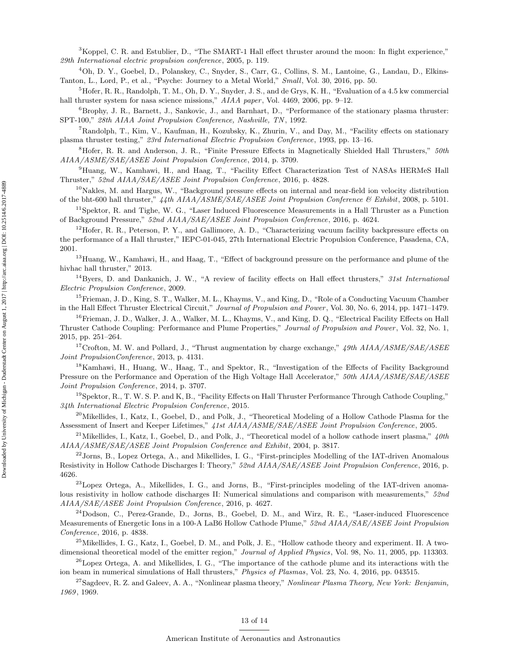<span id="page-12-0"></span><sup>3</sup>Koppel, C. R. and Estublier, D., "The SMART-1 Hall effect thruster around the moon: In flight experience," 29th International electric propulsion conference, 2005, p. 119.

<sup>4</sup>Oh, D. Y., Goebel, D., Polanskey, C., Snyder, S., Carr, G., Collins, S. M., Lantoine, G., Landau, D., Elkins-Tanton, L., Lord, P., et al., "Psyche: Journey to a Metal World," Small, Vol. 30, 2016, pp. 50.

<span id="page-12-1"></span> ${}^5H$ ofer, R. R., Randolph, T. M., Oh, D. Y., Snyder, J. S., and de Grys, K. H., "Evaluation of a 4.5 kw commercial hall thruster system for nasa science missions,"  $AIAA$  paper, Vol. 4469, 2006, pp. 9–12.

<span id="page-12-2"></span> $6B$ rophy, J. R., Barnett, J., Sankovic, J., and Barnhart, D., "Performance of the stationary plasma thruster: SPT-100," 28th AIAA Joint Propulsion Conference, Nashville, TN , 1992.

<span id="page-12-3"></span><sup>7</sup>Randolph, T., Kim, V., Kaufman, H., Kozubsky, K., Zhurin, V., and Day, M., "Facility effects on stationary plasma thruster testing," 23rd International Electric Propulsion Conference, 1993, pp. 13–16.

<span id="page-12-4"></span> $8Hof$  R. R. and Anderson, J. R., "Finite Pressure Effects in Magnetically Shielded Hall Thrusters,"  $50th$ AIAA/ASME/SAE/ASEE Joint Propulsion Conference, 2014, p. 3709.

<span id="page-12-7"></span><sup>9</sup>Huang, W., Kamhawi, H., and Haag, T., "Facility Effect Characterization Test of NASAs HERMeS Hall Thruster," 52nd AIAA/SAE/ASEE Joint Propulsion Conference, 2016, p. 4828.

<span id="page-12-6"></span> $10$ Nakles, M. and Hargus, W., "Background pressure effects on internal and near-field ion velocity distribution of the bht-600 hall thruster," 44th AIAA/ASME/SAE/ASEE Joint Propulsion Conference & Exhibit, 2008, p. 5101.

 $11$ Spektor, R. and Tighe, W. G., "Laser Induced Fluorescence Measurements in a Hall Thruster as a Function of Background Pressure," 52nd AIAA/SAE/ASEE Joint Propulsion Conference, 2016, p. 4624.

 $12$ Hofer, R. R., Peterson, P. Y., and Gallimore, A. D., "Characterizing vacuum facility backpressure effects on the performance of a Hall thruster," IEPC-01-045, 27th International Electric Propulsion Conference, Pasadena, CA, 2001.

<span id="page-12-5"></span> $13$ Huang, W., Kamhawi, H., and Haag, T., "Effect of background pressure on the performance and plume of the hivhac hall thruster," 2013.

<span id="page-12-8"></span> $14Byers$ , D. and Dankanich, J. W., "A review of facility effects on Hall effect thrusters," 31st International Electric Propulsion Conference, 2009.

<span id="page-12-9"></span><sup>15</sup>Frieman, J. D., King, S. T., Walker, M. L., Khayms, V., and King, D., "Role of a Conducting Vacuum Chamber in the Hall Effect Thruster Electrical Circuit," Journal of Propulsion and Power , Vol. 30, No. 6, 2014, pp. 1471–1479.

<span id="page-12-10"></span><sup>16</sup>Frieman, J. D., Walker, J. A., Walker, M. L., Khayms, V., and King, D. Q., "Electrical Facility Effects on Hall Thruster Cathode Coupling: Performance and Plume Properties," Journal of Propulsion and Power , Vol. 32, No. 1, 2015, pp. 251–264.

<span id="page-12-11"></span><sup>17</sup>Crofton, M. W. and Pollard, J., "Thrust augmentation by charge exchange,"  $49th$   $AIAA/ASME/SAE/ASEE$ Joint PropulsionConference, 2013, p. 4131.

<span id="page-12-12"></span><sup>18</sup>Kamhawi, H., Huang, W., Haag, T., and Spektor, R., "Investigation of the Effects of Facility Background Pressure on the Performance and Operation of the High Voltage Hall Accelerator," 50th AIAA/ASME/SAE/ASEE Joint Propulsion Conference, 2014, p. 3707.

<span id="page-12-13"></span> $19$ Spektor, R., T. W. S. P. and K, B., "Facility Effects on Hall Thruster Performance Through Cathode Coupling," 34th International Electric Propulsion Conference, 2015.

<span id="page-12-14"></span><sup>20</sup>Mikellides, I., Katz, I., Goebel, D., and Polk, J., "Theoretical Modeling of a Hollow Cathode Plasma for the Assessment of Insert and Keeper Lifetimes," 41st AIAA/ASME/SAE/ASEE Joint Propulsion Conference, 2005.

<span id="page-12-15"></span><sup>21</sup> Mikellides, I., Katz, I., Goebel, D., and Polk, J., "Theoretical model of a hollow cathode insert plasma,"  $40th$ AIAA/ASME/SAE/ASEE Joint Propulsion Conference and Exhibit, 2004, p. 3817.

<span id="page-12-16"></span> $^{22}$ Jorns, B., Lopez Ortega, A., and Mikellides, I. G., "First-principles Modelling of the IAT-driven Anomalous Resistivity in Hollow Cathode Discharges I: Theory," 52nd AIAA/SAE/ASEE Joint Propulsion Conference, 2016, p. 4626.

<span id="page-12-17"></span> $^{23}$ Lopez Ortega, A., Mikellides, I. G., and Jorns, B., "First-principles modeling of the IAT-driven anomalous resistivity in hollow cathode discharges II: Numerical simulations and comparison with measurements,"  $52nd$ AIAA/SAE/ASEE Joint Propulsion Conference, 2016, p. 4627.

<span id="page-12-18"></span> $^{24}$ Dodson, C., Perez-Grande, D., Jorns, B., Goebel, D. M., and Wirz, R. E., "Laser-induced Fluorescence Measurements of Energetic Ions in a 100-A LaB6 Hollow Cathode Plume," 52nd AIAA/SAE/ASEE Joint Propulsion Conference, 2016, p. 4838.

<span id="page-12-19"></span> $^{25}$ Mikellides, I. G., Katz, I., Goebel, D. M., and Polk, J. E., "Hollow cathode theory and experiment. II. A twodimensional theoretical model of the emitter region," Journal of Applied Physics, Vol. 98, No. 11, 2005, pp. 113303.

<span id="page-12-20"></span> $^{26}$ Lopez Ortega, A. and Mikellides, I. G., "The importance of the cathode plume and its interactions with the ion beam in numerical simulations of Hall thrusters," Physics of Plasmas, Vol. 23, No. 4, 2016, pp. 043515.

<span id="page-12-21"></span><sup>27</sup>Sagdeev, R. Z. and Galeev, A. A., "Nonlinear plasma theory," Nonlinear Plasma Theory, New York: Benjamin, 1969 , 1969.